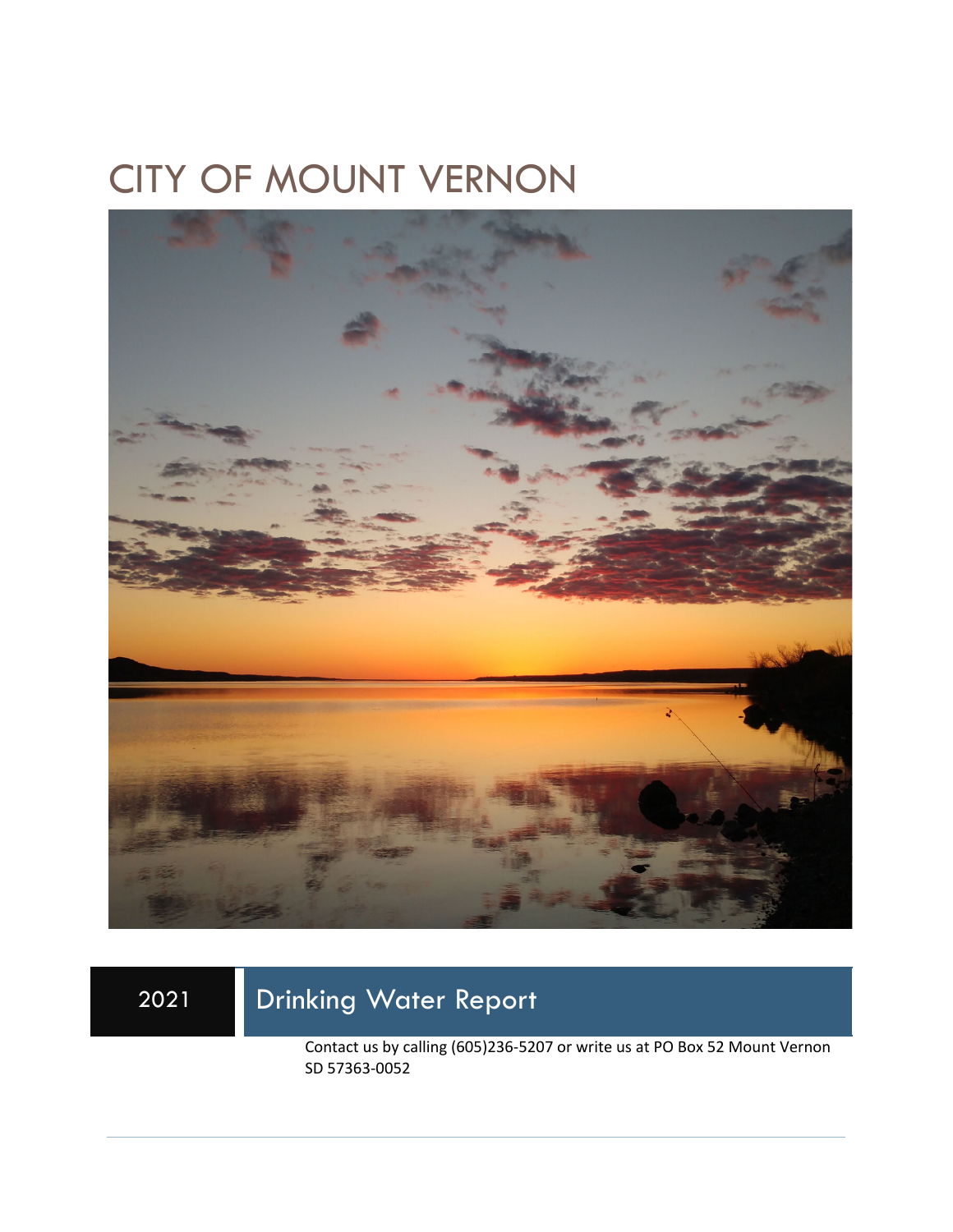# CITY OF MOUNT VERNON



## 2021 Drinking Water Report

Contact us by calling (605)236-5207 or write us at PO Box 52 Mount Vernon SD 57363-0052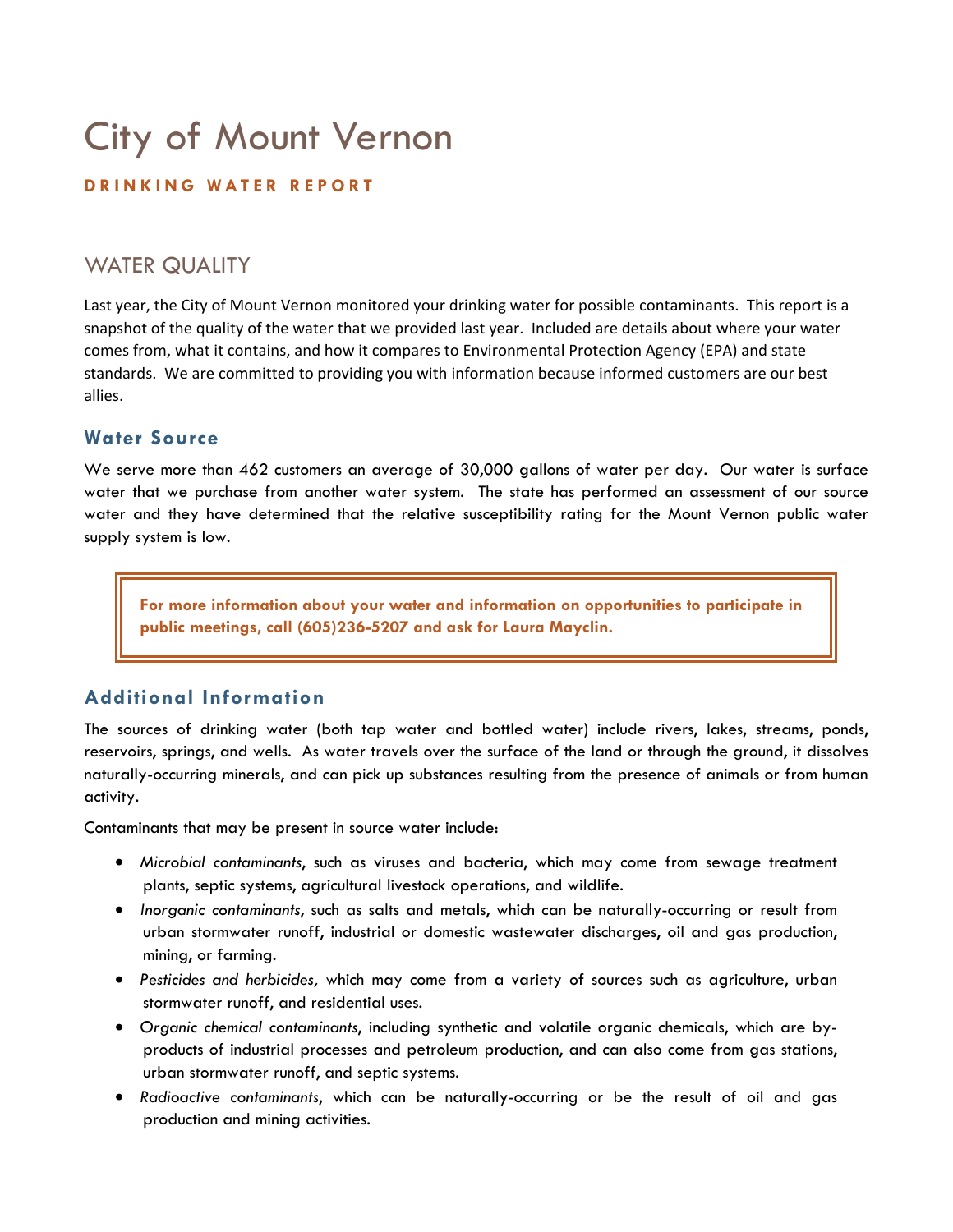# City of Mount Vernon

#### **DRINKING WATER REPORT**

### WATER QUALITY

Last year, the City of Mount Vernon monitored your drinking water for possible contaminants. This report is a snapshot of the quality of the water that we provided last year. Included are details about where your water comes from, what it contains, and how it compares to Environmental Protection Agency (EPA) and state standards. We are committed to providing you with information because informed customers are our best allies.

#### **Water Source**

We serve more than 462 customers an average of 30,000 gallons of water per day. Our water is surface water that we purchase from another water system. The state has performed an assessment of our source water and they have determined that the relative susceptibility rating for the Mount Vernon public water supply system is low.

**For more information about your water and information on opportunities to participate in public meetings, call (605)236-5207 and ask for Laura Mayclin.** 

#### **Additional Information**

The sources of drinking water (both tap water and bottled water) include rivers, lakes, streams, ponds, reservoirs, springs, and wells. As water travels over the surface of the land or through the ground, it dissolves naturally-occurring minerals, and can pick up substances resulting from the presence of animals or from human activity.

Contaminants that may be present in source water include:

- *Microbial contaminants*, such as viruses and bacteria, which may come from sewage treatment plants, septic systems, agricultural livestock operations, and wildlife.
- *Inorganic contaminants*, such as salts and metals, which can be naturally-occurring or result from urban stormwater runoff, industrial or domestic wastewater discharges, oil and gas production, mining, or farming.
- *Pesticides and herbicides,* which may come from a variety of sources such as agriculture, urban stormwater runoff, and residential uses.
- *Organic chemical contaminants*, including synthetic and volatile organic chemicals, which are byproducts of industrial processes and petroleum production, and can also come from gas stations, urban stormwater runoff, and septic systems.
- *Radioactive contaminants*, which can be naturally-occurring or be the result of oil and gas production and mining activities.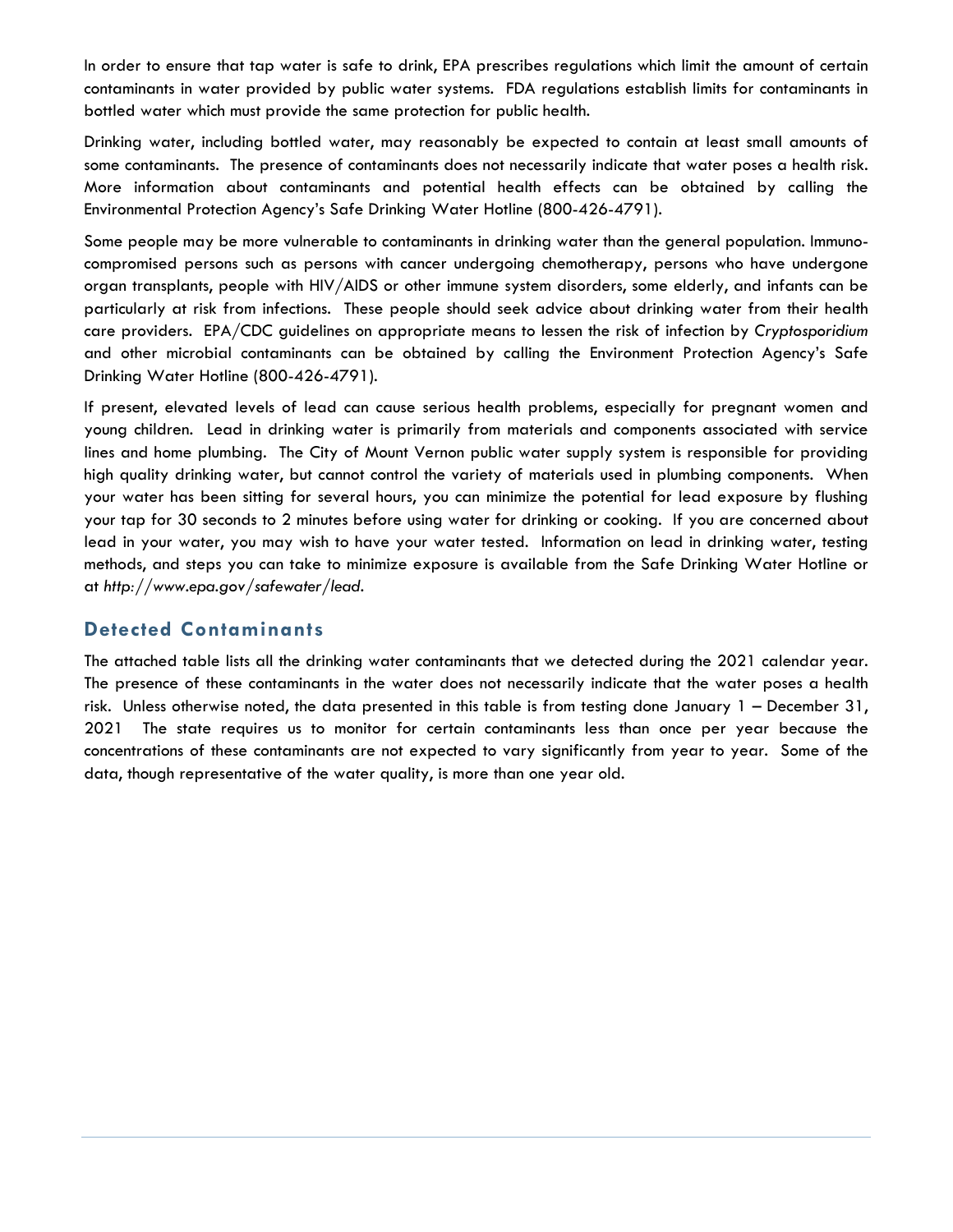In order to ensure that tap water is safe to drink, EPA prescribes regulations which limit the amount of certain contaminants in water provided by public water systems. FDA regulations establish limits for contaminants in bottled water which must provide the same protection for public health.

Drinking water, including bottled water, may reasonably be expected to contain at least small amounts of some contaminants. The presence of contaminants does not necessarily indicate that water poses a health risk. More information about contaminants and potential health effects can be obtained by calling the Environmental Protection Agency's Safe Drinking Water Hotline (800-426-4791).

Some people may be more vulnerable to contaminants in drinking water than the general population. Immunocompromised persons such as persons with cancer undergoing chemotherapy, persons who have undergone organ transplants, people with HIV/AIDS or other immune system disorders, some elderly, and infants can be particularly at risk from infections. These people should seek advice about drinking water from their health care providers. EPA/CDC guidelines on appropriate means to lessen the risk of infection by *Cryptosporidium* and other microbial contaminants can be obtained by calling the Environment Protection Agency's Safe Drinking Water Hotline (800-426-4791).

If present, elevated levels of lead can cause serious health problems, especially for pregnant women and young children. Lead in drinking water is primarily from materials and components associated with service lines and home plumbing. The City of Mount Vernon public water supply system is responsible for providing high quality drinking water, but cannot control the variety of materials used in plumbing components. When your water has been sitting for several hours, you can minimize the potential for lead exposure by flushing your tap for 30 seconds to 2 minutes before using water for drinking or cooking. If you are concerned about lead in your water, you may wish to have your water tested. Information on lead in drinking water, testing methods, and steps you can take to minimize exposure is available from the Safe Drinking Water Hotline or at *http://www.epa.gov/safewater/lead*.

#### **Detected Contaminants**

The attached table lists all the drinking water contaminants that we detected during the 2021 calendar year. The presence of these contaminants in the water does not necessarily indicate that the water poses a health risk. Unless otherwise noted, the data presented in this table is from testing done January 1 – December 31, 2021 The state requires us to monitor for certain contaminants less than once per year because the concentrations of these contaminants are not expected to vary significantly from year to year. Some of the data, though representative of the water quality, is more than one year old.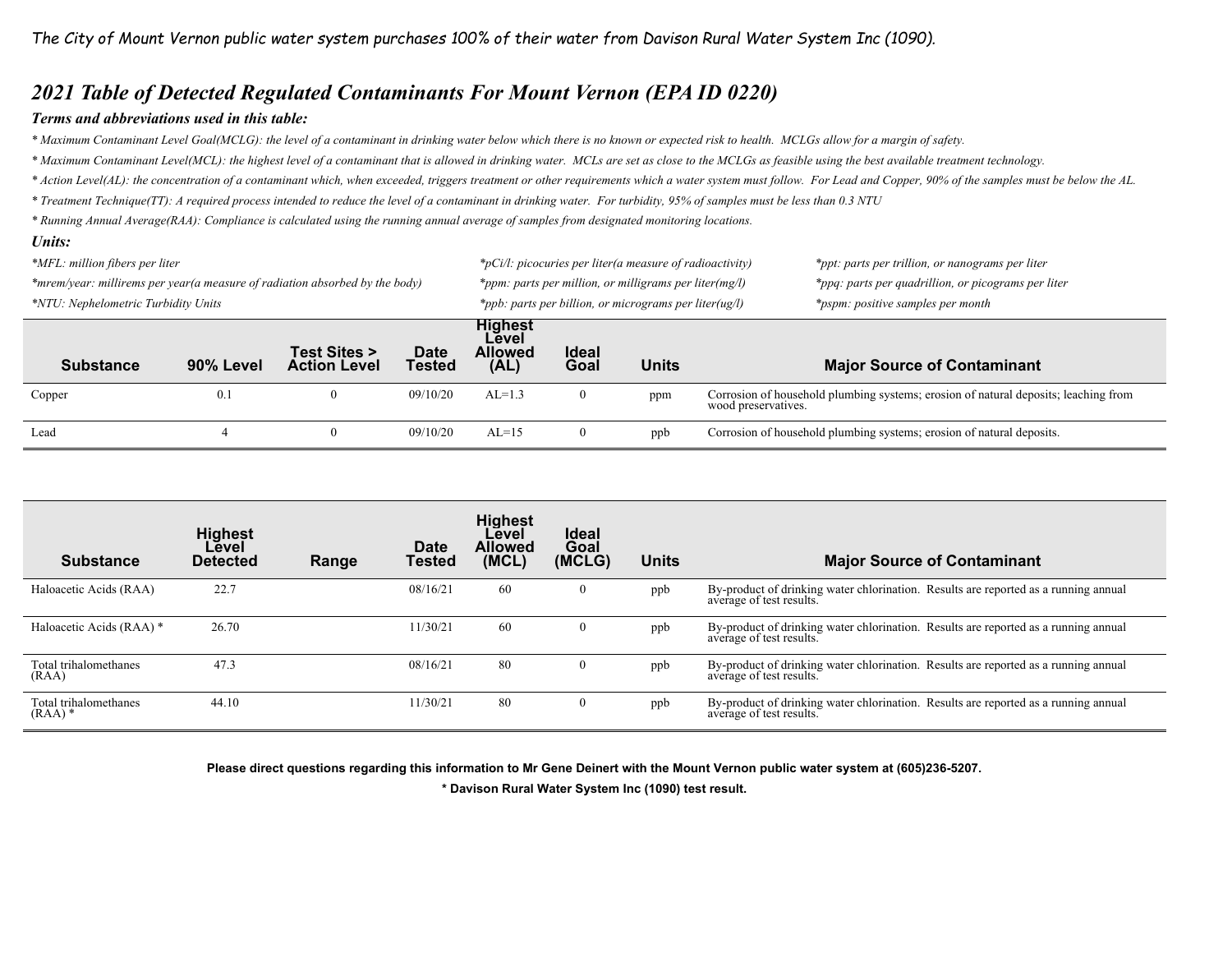### *2021 Table of Detected Regulated Contaminants For Mount Vernon (EPA ID 0220)*

#### *Terms and abbreviations used in this table:*

*\* Maximum Contaminant Level Goal(MCLG): the level of a contaminant in drinking water below which there is no known or expected risk to health. MCLGs allow for a margin of safety.* 

*\* Maximum Contaminant Level(MCL): the highest level of a contaminant that is allowed in drinking water. MCLs are set as close to the MCLGs as feasible using the best available treatment technology.* 

*\* Action Level(AL): the concentration of a contaminant which, when exceeded, triggers treatment or other requirements which a water system must follow. For Lead and Copper, 90% of the samples must be below the AL.* 

*\* Treatment Technique(TT): A required process intended to reduce the level of a contaminant in drinking water. For turbidity, 95% of samples must be less than 0.3 NTU* 

*\* Running Annual Average(RAA): Compliance is calculated using the running annual average of samples from designated monitoring locations.* 

#### *Units:*

| *MFL: million fibers per liter                                              |           |                                     |                              | $*_{p}$ Ci/l: picocuries per liter(a measure of radioactivity) |                      |                                                        | *ppt: parts per trillion, or nanograms per liter                                                           |  |
|-----------------------------------------------------------------------------|-----------|-------------------------------------|------------------------------|----------------------------------------------------------------|----------------------|--------------------------------------------------------|------------------------------------------------------------------------------------------------------------|--|
| *mrem/year: millirems per year(a measure of radiation absorbed by the body) |           |                                     |                              |                                                                |                      | *ppm: parts per million, or milligrams per liter(mg/l) | *ppq: parts per quadrillion, or picograms per liter                                                        |  |
| *NTU: Nephelometric Turbidity Units                                         |           |                                     |                              | *ppb: parts per billion, or micrograms per liter( $u$ g/l)     |                      |                                                        | *pspm: positive samples per month                                                                          |  |
| <b>Substance</b>                                                            | 90% Level | Test Sites ><br><b>Action Level</b> | <b>Date</b><br><b>Tested</b> | Highest<br>Level<br><b>Allowed</b><br>(AL)                     | <b>Ideal</b><br>Goal | <b>Units</b>                                           | <b>Major Source of Contaminant</b>                                                                         |  |
| Copper                                                                      | 0.1       |                                     | 09/10/20                     | $AL=1.3$                                                       | 0                    | ppm                                                    | Corrosion of household plumbing systems; erosion of natural deposits; leaching from<br>wood preservatives. |  |
| Lead                                                                        |           | $\mathbf{0}$                        | 09/10/20                     | $AL=15$                                                        | 0                    | ppb                                                    | Corrosion of household plumbing systems; erosion of natural deposits.                                      |  |

| <b>Substance</b>                              | <b>Highest</b><br>Level<br><b>Detected</b> | Range | Date<br>Tested | <b>Highest</b><br>Level<br><b>Allowed</b><br>(MCL) | <b>Ideal</b><br>Goal<br>(MCLG) | <b>Units</b> | <b>Major Source of Contaminant</b>                                                                              |
|-----------------------------------------------|--------------------------------------------|-------|----------------|----------------------------------------------------|--------------------------------|--------------|-----------------------------------------------------------------------------------------------------------------|
| Haloacetic Acids (RAA)                        | 22.7                                       |       | 08/16/21       | 60                                                 | O                              | ppb          | By-product of drinking water chlorination. Results are reported as a running annual<br>average of test results. |
| Haloacetic Acids (RAA) *                      | 26.70                                      |       | 11/30/21       | 60                                                 | 0                              | ppb          | By-product of drinking water chlorination. Results are reported as a running annual<br>average of test results. |
| Total trihalomethanes<br>(RAA)                | 47.3                                       |       | 08/16/21       | 80                                                 | v                              | ppb          | By-product of drinking water chlorination. Results are reported as a running annual<br>average of test results. |
| Total trihalomethanes<br>$(RAA)$ <sup>*</sup> | 44.10                                      |       | 11/30/21       | 80                                                 | v                              | ppb          | By-product of drinking water chlorination. Results are reported as a running annual<br>average of test results. |

**Please direct questions regarding this information to Mr Gene Deinert with the Mount Vernon public water system at (605)236-5207.** 

**\* Davison Rural Water System Inc (1090) test result.**